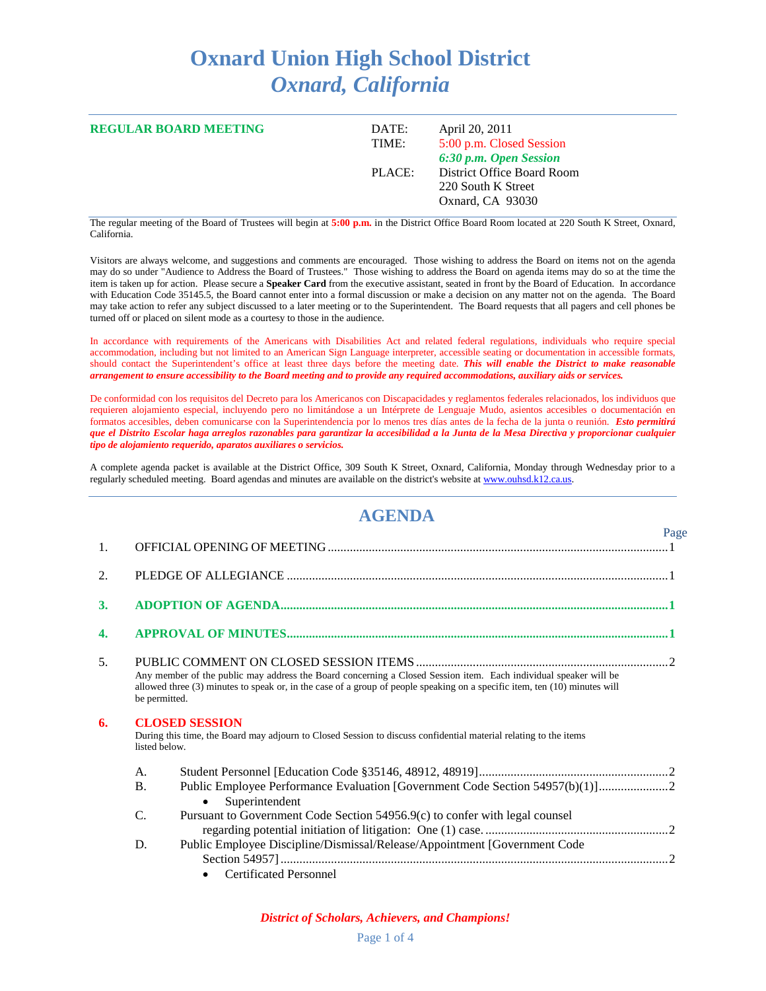## **Oxnard Union High School District** *Oxnard, California*

| <b>REGULAR BOARD MEETING</b> | DATE:<br>TIME: | April 20, 2011<br>5:00 p.m. Closed Session<br>6:30 p.m. Open Session |
|------------------------------|----------------|----------------------------------------------------------------------|
|                              | PLACE:         | District Office Board Room<br>220 South K Street<br>Oxnard, CA 93030 |

The regular meeting of the Board of Trustees will begin at **5:00 p.m.** in the District Office Board Room located at 220 South K Street, Oxnard, California.

Visitors are always welcome, and suggestions and comments are encouraged. Those wishing to address the Board on items not on the agenda may do so under "Audience to Address the Board of Trustees." Those wishing to address the Board on agenda items may do so at the time the item is taken up for action. Please secure a **Speaker Card** from the executive assistant, seated in front by the Board of Education. In accordance with Education Code 35145.5, the Board cannot enter into a formal discussion or make a decision on any matter not on the agenda. The Board may take action to refer any subject discussed to a later meeting or to the Superintendent. The Board requests that all pagers and cell phones be turned off or placed on silent mode as a courtesy to those in the audience.

In accordance with requirements of the Americans with Disabilities Act and related federal regulations, individuals who require special accommodation, including but not limited to an American Sign Language interpreter, accessible seating or documentation in accessible formats, should contact the Superintendent's office at least three days before the meeting date. *This will enable the District to make reasonable arrangement to ensure accessibility to the Board meeting and to provide any required accommodations, auxiliary aids or services.*

De conformidad con los requisitos del Decreto para los Americanos con Discapacidades y reglamentos federales relacionados, los individuos que requieren alojamiento especial, incluyendo pero no limitándose a un Intérprete de Lenguaje Mudo, asientos accesibles o documentación en formatos accesibles, deben comunicarse con la Superintendencia por lo menos tres días antes de la fecha de la junta o reunión. *Esto permitirá que el Distrito Escolar haga arreglos razonables para garantizar la accesibilidad a la Junta de la Mesa Directiva y proporcionar cualquier tipo de alojamiento requerido, aparatos auxiliares o servicios.*

A complete agenda packet is available at the District Office, 309 South K Street, Oxnard, California, Monday through Wednesday prior to a regularly scheduled meeting. Board agendas and minutes are available on the district's website a[t www.ouhsd.k12.ca.us.](http://www.ouhsd.k12.ca.us/)

## **AGENDA**

|                  |                                                                                                                                                            |                                                                                                                                                                                                                                                | Page |
|------------------|------------------------------------------------------------------------------------------------------------------------------------------------------------|------------------------------------------------------------------------------------------------------------------------------------------------------------------------------------------------------------------------------------------------|------|
| 1.               |                                                                                                                                                            |                                                                                                                                                                                                                                                |      |
| 2.               |                                                                                                                                                            |                                                                                                                                                                                                                                                |      |
| 3.               |                                                                                                                                                            |                                                                                                                                                                                                                                                |      |
| $\overline{4}$ . |                                                                                                                                                            |                                                                                                                                                                                                                                                |      |
| 5.               | be permitted.                                                                                                                                              | Any member of the public may address the Board concerning a Closed Session item. Each individual speaker will be<br>allowed three (3) minutes to speak or, in the case of a group of people speaking on a specific item, ten (10) minutes will |      |
| 6.               | <b>CLOSED SESSION</b><br>During this time, the Board may adjourn to Closed Session to discuss confidential material relating to the items<br>listed below. |                                                                                                                                                                                                                                                |      |
|                  | A.                                                                                                                                                         |                                                                                                                                                                                                                                                |      |
|                  | <b>B.</b>                                                                                                                                                  | Public Employee Performance Evaluation [Government Code Section 54957(b)(1)]<br>Superintendent<br>$\bullet$                                                                                                                                    |      |
|                  | $\mathcal{C}$                                                                                                                                              | Pursuant to Government Code Section 54956.9(c) to confer with legal counsel                                                                                                                                                                    |      |
|                  | D.                                                                                                                                                         | Public Employee Discipline/Dismissal/Release/Appointment [Government Code<br><b>Certificated Personnel</b>                                                                                                                                     |      |

*District of Scholars, Achievers, and Champions!*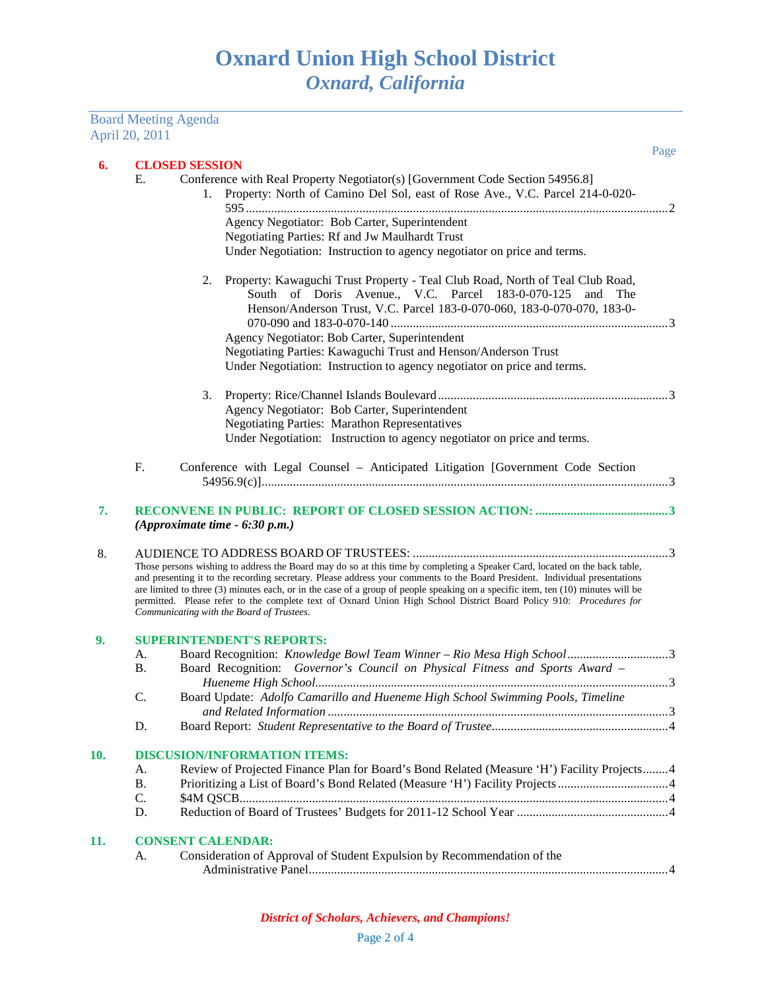Board Meeting Agenda April 20, 2011

| 6.  |                 | <b>CLOSED SESSION</b>                                                                                                                                                                                                                                                                                                                                                                                                                                                                                                                                            |  |  |  |
|-----|-----------------|------------------------------------------------------------------------------------------------------------------------------------------------------------------------------------------------------------------------------------------------------------------------------------------------------------------------------------------------------------------------------------------------------------------------------------------------------------------------------------------------------------------------------------------------------------------|--|--|--|
|     | Е.              | Conference with Real Property Negotiator(s) [Government Code Section 54956.8]<br>Property: North of Camino Del Sol, east of Rose Ave., V.C. Parcel 214-0-020-<br>1.                                                                                                                                                                                                                                                                                                                                                                                              |  |  |  |
|     |                 | Agency Negotiator: Bob Carter, Superintendent                                                                                                                                                                                                                                                                                                                                                                                                                                                                                                                    |  |  |  |
|     |                 | Negotiating Parties: Rf and Jw Maulhardt Trust                                                                                                                                                                                                                                                                                                                                                                                                                                                                                                                   |  |  |  |
|     |                 | Under Negotiation: Instruction to agency negotiator on price and terms.                                                                                                                                                                                                                                                                                                                                                                                                                                                                                          |  |  |  |
|     |                 | Property: Kawaguchi Trust Property - Teal Club Road, North of Teal Club Road,<br>2.<br>South of Doris Avenue., V.C. Parcel 183-0-070-125 and The<br>Henson/Anderson Trust, V.C. Parcel 183-0-070-060, 183-0-070-070, 183-0-                                                                                                                                                                                                                                                                                                                                      |  |  |  |
|     |                 | Agency Negotiator: Bob Carter, Superintendent                                                                                                                                                                                                                                                                                                                                                                                                                                                                                                                    |  |  |  |
|     |                 | Negotiating Parties: Kawaguchi Trust and Henson/Anderson Trust                                                                                                                                                                                                                                                                                                                                                                                                                                                                                                   |  |  |  |
|     |                 | Under Negotiation: Instruction to agency negotiator on price and terms.                                                                                                                                                                                                                                                                                                                                                                                                                                                                                          |  |  |  |
|     |                 | 3.                                                                                                                                                                                                                                                                                                                                                                                                                                                                                                                                                               |  |  |  |
|     |                 | Agency Negotiator: Bob Carter, Superintendent                                                                                                                                                                                                                                                                                                                                                                                                                                                                                                                    |  |  |  |
|     |                 | <b>Negotiating Parties: Marathon Representatives</b>                                                                                                                                                                                                                                                                                                                                                                                                                                                                                                             |  |  |  |
|     |                 | Under Negotiation: Instruction to agency negotiator on price and terms.                                                                                                                                                                                                                                                                                                                                                                                                                                                                                          |  |  |  |
|     | F.              | Conference with Legal Counsel - Anticipated Litigation [Government Code Section                                                                                                                                                                                                                                                                                                                                                                                                                                                                                  |  |  |  |
|     |                 |                                                                                                                                                                                                                                                                                                                                                                                                                                                                                                                                                                  |  |  |  |
| 7.  |                 | (Approximate time - 6:30 p.m.)                                                                                                                                                                                                                                                                                                                                                                                                                                                                                                                                   |  |  |  |
| 8.  |                 | Those persons wishing to address the Board may do so at this time by completing a Speaker Card, located on the back table,<br>and presenting it to the recording secretary. Please address your comments to the Board President. Individual presentations<br>are limited to three (3) minutes each, or in the case of a group of people speaking on a specific item, ten (10) minutes will be<br>permitted. Please refer to the complete text of Oxnard Union High School District Board Policy 910: Procedures for<br>Communicating with the Board of Trustees. |  |  |  |
| 9.  |                 | <b>SUPERINTENDENT'S REPORTS:</b>                                                                                                                                                                                                                                                                                                                                                                                                                                                                                                                                 |  |  |  |
|     | A.<br><b>B.</b> | Board Recognition: Knowledge Bowl Team Winner - Rio Mesa High School3<br>Board Recognition: Governor's Council on Physical Fitness and Sports Award -                                                                                                                                                                                                                                                                                                                                                                                                            |  |  |  |
|     | C.              | Board Update: Adolfo Camarillo and Hueneme High School Swimming Pools, Timeline                                                                                                                                                                                                                                                                                                                                                                                                                                                                                  |  |  |  |
|     | D.              |                                                                                                                                                                                                                                                                                                                                                                                                                                                                                                                                                                  |  |  |  |
| 10. |                 | <b>DISCUSION/INFORMATION ITEMS:</b>                                                                                                                                                                                                                                                                                                                                                                                                                                                                                                                              |  |  |  |
|     | A.              | Review of Projected Finance Plan for Board's Bond Related (Measure 'H') Facility Projects 4                                                                                                                                                                                                                                                                                                                                                                                                                                                                      |  |  |  |
|     | <b>B.</b>       | Prioritizing a List of Board's Bond Related (Measure 'H') Facility Projects 4                                                                                                                                                                                                                                                                                                                                                                                                                                                                                    |  |  |  |
|     | C.              |                                                                                                                                                                                                                                                                                                                                                                                                                                                                                                                                                                  |  |  |  |
|     | D.              |                                                                                                                                                                                                                                                                                                                                                                                                                                                                                                                                                                  |  |  |  |
| 11. |                 | <b>CONSENT CALENDAR:</b>                                                                                                                                                                                                                                                                                                                                                                                                                                                                                                                                         |  |  |  |
|     | А.              | Consideration of Approval of Student Expulsion by Recommendation of the                                                                                                                                                                                                                                                                                                                                                                                                                                                                                          |  |  |  |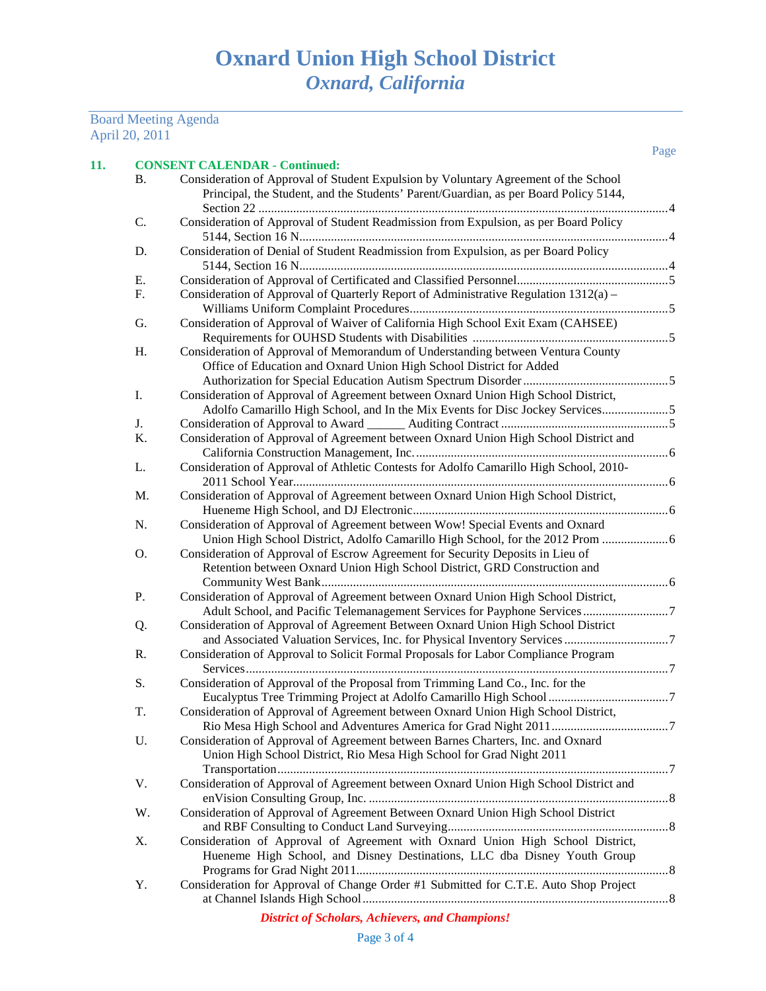## Board Meeting Agenda April 20, 2011

| <b>B.</b> | Consideration of Approval of Student Expulsion by Voluntary Agreement of the School<br>Principal, the Student, and the Students' Parent/Guardian, as per Board Policy 5144, |  |
|-----------|-----------------------------------------------------------------------------------------------------------------------------------------------------------------------------|--|
| C.        | Consideration of Approval of Student Readmission from Expulsion, as per Board Policy                                                                                        |  |
| D.        | Consideration of Denial of Student Readmission from Expulsion, as per Board Policy                                                                                          |  |
| Е.        |                                                                                                                                                                             |  |
| F.        | Consideration of Approval of Quarterly Report of Administrative Regulation 1312(a) -                                                                                        |  |
| G.        | Consideration of Approval of Waiver of California High School Exit Exam (CAHSEE)                                                                                            |  |
| Η.        | Consideration of Approval of Memorandum of Understanding between Ventura County<br>Office of Education and Oxnard Union High School District for Added                      |  |
| I.        | Consideration of Approval of Agreement between Oxnard Union High School District,<br>Adolfo Camarillo High School, and In the Mix Events for Disc Jockey Services5          |  |
| J.        |                                                                                                                                                                             |  |
| K.        | Consideration of Approval of Agreement between Oxnard Union High School District and                                                                                        |  |
| L.        | Consideration of Approval of Athletic Contests for Adolfo Camarillo High School, 2010-                                                                                      |  |
| M.        | Consideration of Approval of Agreement between Oxnard Union High School District,                                                                                           |  |
| N.        | Consideration of Approval of Agreement between Wow! Special Events and Oxnard<br>Union High School District, Adolfo Camarillo High School, for the 2012 Prom                |  |
| Ο.        | Consideration of Approval of Escrow Agreement for Security Deposits in Lieu of<br>Retention between Oxnard Union High School District, GRD Construction and                 |  |
| P.        | Consideration of Approval of Agreement between Oxnard Union High School District,                                                                                           |  |
| Q.        | Consideration of Approval of Agreement Between Oxnard Union High School District                                                                                            |  |
| R.        | Consideration of Approval to Solicit Formal Proposals for Labor Compliance Program                                                                                          |  |
| S.        | Consideration of Approval of the Proposal from Trimming Land Co., Inc. for the                                                                                              |  |
| T.        | Consideration of Approval of Agreement between Oxnard Union High School District,                                                                                           |  |
| U.        | Consideration of Approval of Agreement between Barnes Charters, Inc. and Oxnard<br>Union High School District, Rio Mesa High School for Grad Night 2011                     |  |
| V.        | Consideration of Approval of Agreement between Oxnard Union High School District and                                                                                        |  |
| W.        | Consideration of Approval of Agreement Between Oxnard Union High School District                                                                                            |  |
| Х.        | Consideration of Approval of Agreement with Oxnard Union High School District,<br>Hueneme High School, and Disney Destinations, LLC dba Disney Youth Group                  |  |

Y. Consideration for Approval of Change Order #1 Submitted for C.T.E. Auto Shop Project at Channel Islands High School.................................................................................................8

## *District of Scholars, Achievers, and Champions!*